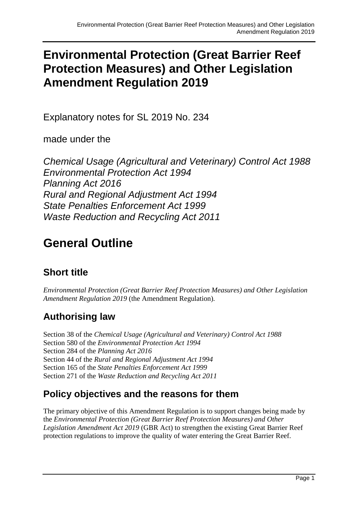# **Environmental Protection (Great Barrier Reef Protection Measures) and Other Legislation Amendment Regulation 2019**

Explanatory notes for SL 2019 No. 234

made under the

*Chemical Usage (Agricultural and Veterinary) Control Act 1988 Environmental Protection Act 1994 Planning Act 2016 Rural and Regional Adjustment Act 1994 State Penalties Enforcement Act 1999 Waste Reduction and Recycling Act 2011*

# **General Outline**

# **Short title**

*Environmental Protection (Great Barrier Reef Protection Measures) and Other Legislation Amendment Regulation 2019* (the Amendment Regulation)*.*

# **Authorising law**

Section 38 of the *Chemical Usage (Agricultural and Veterinary) Control Act 1988* Section 580 of the *Environmental Protection Act 1994* Section 284 of the *Planning Act 2016* Section 44 of the *Rural and Regional Adjustment Act 1994* Section 165 of the *State Penalties Enforcement Act 1999* Section 271 of the *Waste Reduction and Recycling Act 2011*

# **Policy objectives and the reasons for them**

The primary objective of this Amendment Regulation is to support changes being made by the *Environmental Protection (Great Barrier Reef Protection Measures) and Other Legislation Amendment Act 2019* (GBR Act) to strengthen the existing Great Barrier Reef protection regulations to improve the quality of water entering the Great Barrier Reef.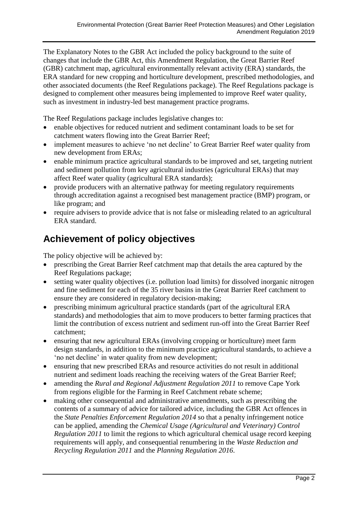The Explanatory Notes to the GBR Act included the policy background to the suite of changes that include the GBR Act, this Amendment Regulation, the Great Barrier Reef (GBR) catchment map, agricultural environmentally relevant activity (ERA) standards, the ERA standard for new cropping and horticulture development, prescribed methodologies, and other associated documents (the Reef Regulations package). The Reef Regulations package is designed to complement other measures being implemented to improve Reef water quality, such as investment in industry-led best management practice programs.

The Reef Regulations package includes legislative changes to:

- enable objectives for reduced nutrient and sediment contaminant loads to be set for catchment waters flowing into the Great Barrier Reef;
- implement measures to achieve 'no net decline' to Great Barrier Reef water quality from new development from ERAs;
- enable minimum practice agricultural standards to be improved and set, targeting nutrient and sediment pollution from key agricultural industries (agricultural ERAs) that may affect Reef water quality (agricultural ERA standards);
- provide producers with an alternative pathway for meeting regulatory requirements through accreditation against a recognised best management practice (BMP) program, or like program; and
- require advisers to provide advice that is not false or misleading related to an agricultural ERA standard.

# **Achievement of policy objectives**

The policy objective will be achieved by:

- prescribing the Great Barrier Reef catchment map that details the area captured by the Reef Regulations package;
- setting water quality objectives (i.e. pollution load limits) for dissolved inorganic nitrogen and fine sediment for each of the 35 river basins in the Great Barrier Reef catchment to ensure they are considered in regulatory decision-making;
- prescribing minimum agricultural practice standards (part of the agricultural ERA standards) and methodologies that aim to move producers to better farming practices that limit the contribution of excess nutrient and sediment run-off into the Great Barrier Reef catchment;
- ensuring that new agricultural ERAs (involving cropping or horticulture) meet farm design standards, in addition to the minimum practice agricultural standards, to achieve a 'no net decline' in water quality from new development;
- ensuring that new prescribed ERAs and resource activities do not result in additional nutrient and sediment loads reaching the receiving waters of the Great Barrier Reef;
- amending the *Rural and Regional Adjustment Regulation 2011* to remove Cape York from regions eligible for the Farming in Reef Catchment rebate scheme;
- making other consequential and administrative amendments, such as prescribing the contents of a summary of advice for tailored advice, including the GBR Act offences in the *State Penalties Enforcement Regulation 2014* so that a penalty infringement notice can be applied, amending the *Chemical Usage (Agricultural and Veterinary) Control Regulation 2011* to limit the regions to which agricultural chemical usage record keeping requirements will apply, and consequential renumbering in the *Waste Reduction and Recycling Regulation 2011* and the *Planning Regulation 2016*.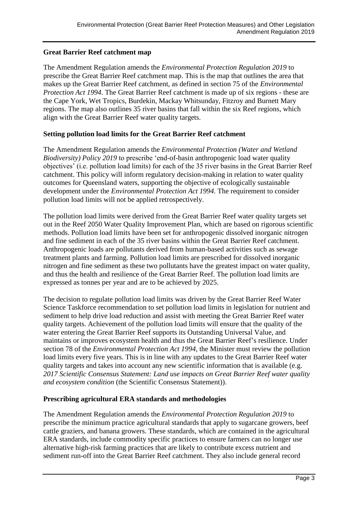#### **Great Barrier Reef catchment map**

The Amendment Regulation amends the *Environmental Protection Regulation 2019* to prescribe the Great Barrier Reef catchment map. This is the map that outlines the area that makes up the Great Barrier Reef catchment, as defined in section 75 of the *Environmental Protection Act 1994*. The Great Barrier Reef catchment is made up of six regions - these are the Cape York, Wet Tropics, Burdekin, Mackay Whitsunday, Fitzroy and Burnett Mary regions. The map also outlines 35 river basins that fall within the six Reef regions, which align with the Great Barrier Reef water quality targets.

#### **Setting pollution load limits for the Great Barrier Reef catchment**

The Amendment Regulation amends the *Environmental Protection (Water and Wetland Biodiversity) Policy 2019* to prescribe 'end-of-basin anthropogenic load water quality objectives' (i.e. pollution load limits) for each of the 35 river basins in the Great Barrier Reef catchment. This policy will inform regulatory decision-making in relation to water quality outcomes for Queensland waters, supporting the objective of ecologically sustainable development under the *Environmental Protection Act 1994.* The requirement to consider pollution load limits will not be applied retrospectively.

The pollution load limits were derived from the Great Barrier Reef water quality targets set out in the Reef 2050 Water Quality Improvement Plan, which are based on rigorous scientific methods. Pollution load limits have been set for anthropogenic dissolved inorganic nitrogen and fine sediment in each of the 35 river basins within the Great Barrier Reef catchment. Anthropogenic loads are pollutants derived from human-based activities such as sewage treatment plants and farming. Pollution load limits are prescribed for dissolved inorganic nitrogen and fine sediment as these two pollutants have the greatest impact on water quality, and thus the health and resilience of the Great Barrier Reef. The pollution load limits are expressed as tonnes per year and are to be achieved by 2025.

The decision to regulate pollution load limits was driven by the Great Barrier Reef Water Science Taskforce recommendation to set pollution load limits in legislation for nutrient and sediment to help drive load reduction and assist with meeting the Great Barrier Reef water quality targets. Achievement of the pollution load limits will ensure that the quality of the water entering the Great Barrier Reef supports its Outstanding Universal Value, and maintains or improves ecosystem health and thus the Great Barrier Reef's resilience. Under section 78 of the *Environmental Protection Act 1994*, the Minister must review the pollution load limits every five years. This is in line with any updates to the Great Barrier Reef water quality targets and takes into account any new scientific information that is available (e.g. *2017 Scientific Consensus Statement: Land use impacts on Great Barrier Reef water quality and ecosystem condition* (the Scientific Consensus Statement)).

#### **Prescribing agricultural ERA standards and methodologies**

The Amendment Regulation amends the *Environmental Protection Regulation 2019* to prescribe the minimum practice agricultural standards that apply to sugarcane growers, beef cattle graziers, and banana growers. These standards, which are contained in the agricultural ERA standards, include commodity specific practices to ensure farmers can no longer use alternative high-risk farming practices that are likely to contribute excess nutrient and sediment run-off into the Great Barrier Reef catchment. They also include general record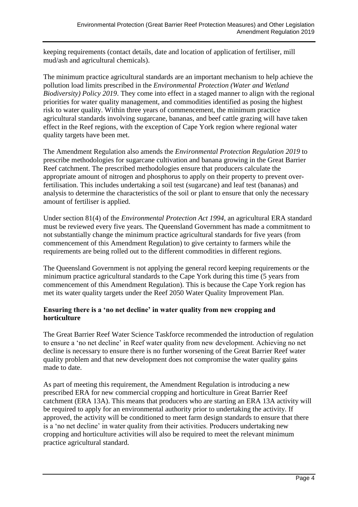keeping requirements (contact details, date and location of application of fertiliser, mill mud/ash and agricultural chemicals).

The minimum practice agricultural standards are an important mechanism to help achieve the pollution load limits prescribed in the *Environmental Protection (Water and Wetland Biodiversity) Policy 2019*. They come into effect in a staged manner to align with the regional priorities for water quality management, and commodities identified as posing the highest risk to water quality. Within three years of commencement, the minimum practice agricultural standards involving sugarcane, bananas, and beef cattle grazing will have taken effect in the Reef regions, with the exception of Cape York region where regional water quality targets have been met.

The Amendment Regulation also amends the *Environmental Protection Regulation 2019* to prescribe methodologies for sugarcane cultivation and banana growing in the Great Barrier Reef catchment. The prescribed methodologies ensure that producers calculate the appropriate amount of nitrogen and phosphorus to apply on their property to prevent overfertilisation. This includes undertaking a soil test (sugarcane) and leaf test (bananas) and analysis to determine the characteristics of the soil or plant to ensure that only the necessary amount of fertiliser is applied.

Under section 81(4) of the *Environmental Protection Act 1994*, an agricultural ERA standard must be reviewed every five years. The Queensland Government has made a commitment to not substantially change the minimum practice agricultural standards for five years (from commencement of this Amendment Regulation) to give certainty to farmers while the requirements are being rolled out to the different commodities in different regions.

The Queensland Government is not applying the general record keeping requirements or the minimum practice agricultural standards to the Cape York during this time (5 years from commencement of this Amendment Regulation). This is because the Cape York region has met its water quality targets under the Reef 2050 Water Quality Improvement Plan.

#### **Ensuring there is a 'no net decline' in water quality from new cropping and horticulture**

The Great Barrier Reef Water Science Taskforce recommended the introduction of regulation to ensure a 'no net decline' in Reef water quality from new development. Achieving no net decline is necessary to ensure there is no further worsening of the Great Barrier Reef water quality problem and that new development does not compromise the water quality gains made to date.

As part of meeting this requirement, the Amendment Regulation is introducing a new prescribed ERA for new commercial cropping and horticulture in Great Barrier Reef catchment (ERA 13A). This means that producers who are starting an ERA 13A activity will be required to apply for an environmental authority prior to undertaking the activity. If approved, the activity will be conditioned to meet farm design standards to ensure that there is a 'no net decline' in water quality from their activities. Producers undertaking new cropping and horticulture activities will also be required to meet the relevant minimum practice agricultural standard.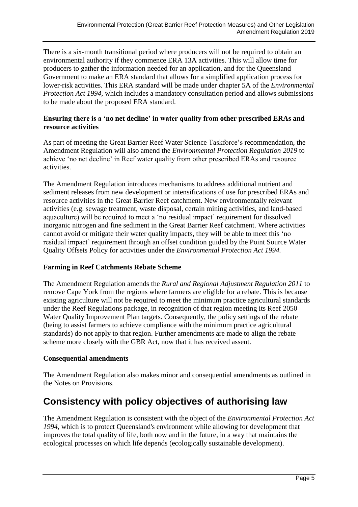There is a six-month transitional period where producers will not be required to obtain an environmental authority if they commence ERA 13A activities. This will allow time for producers to gather the information needed for an application, and for the Queensland Government to make an ERA standard that allows for a simplified application process for lower-risk activities. This ERA standard will be made under chapter 5A of the *Environmental Protection Act 1994*, which includes a mandatory consultation period and allows submissions to be made about the proposed ERA standard.

#### **Ensuring there is a 'no net decline' in water quality from other prescribed ERAs and resource activities**

As part of meeting the Great Barrier Reef Water Science Taskforce's recommendation, the Amendment Regulation will also amend the *Environmental Protection Regulation 2019* to achieve 'no net decline' in Reef water quality from other prescribed ERAs and resource activities.

The Amendment Regulation introduces mechanisms to address additional nutrient and sediment releases from new development or intensifications of use for prescribed ERAs and resource activities in the Great Barrier Reef catchment. New environmentally relevant activities (e.g. sewage treatment, waste disposal, certain mining activities, and land-based aquaculture) will be required to meet a 'no residual impact' requirement for dissolved inorganic nitrogen and fine sediment in the Great Barrier Reef catchment. Where activities cannot avoid or mitigate their water quality impacts, they will be able to meet this 'no residual impact' requirement through an offset condition guided by the Point Source Water Quality Offsets Policy for activities under the *Environmental Protection Act 1994.*

#### **Farming in Reef Catchments Rebate Scheme**

The Amendment Regulation amends the *Rural and Regional Adjustment Regulation 2011* to remove Cape York from the regions where farmers are eligible for a rebate. This is because existing agriculture will not be required to meet the minimum practice agricultural standards under the Reef Regulations package, in recognition of that region meeting its Reef 2050 Water Quality Improvement Plan targets. Consequently, the policy settings of the rebate (being to assist farmers to achieve compliance with the minimum practice agricultural standards) do not apply to that region. Further amendments are made to align the rebate scheme more closely with the GBR Act, now that it has received assent.

#### **Consequential amendments**

The Amendment Regulation also makes minor and consequential amendments as outlined in the Notes on Provisions.

# **Consistency with policy objectives of authorising law**

The Amendment Regulation is consistent with the object of the *Environmental Protection Act 1994*, which is to protect Queensland's environment while allowing for development that improves the total quality of life, both now and in the future, in a way that maintains the ecological processes on which life depends (ecologically sustainable development).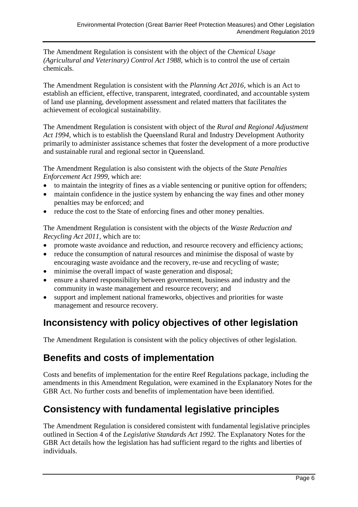The Amendment Regulation is consistent with the object of the *Chemical Usage (Agricultural and Veterinary) Control Act 1988,* which is to control the use of certain chemicals.

The Amendment Regulation is consistent with the *Planning Act 2016*, which is an Act to establish an efficient, effective, transparent, integrated, coordinated, and accountable system of land use planning, development assessment and related matters that facilitates the achievement of ecological sustainability.

The Amendment Regulation is consistent with object of the *Rural and Regional Adjustment Act 1994*, which is to establish the Queensland Rural and Industry Development Authority primarily to administer assistance schemes that foster the development of a more productive and sustainable rural and regional sector in Queensland.

The Amendment Regulation is also consistent with the objects of the *State Penalties Enforcement Act 1999*, which are:

- to maintain the integrity of fines as a viable sentencing or punitive option for offenders;
- maintain confidence in the justice system by enhancing the way fines and other money penalties may be enforced; and
- reduce the cost to the State of enforcing fines and other money penalties.

The Amendment Regulation is consistent with the objects of the *Waste Reduction and Recycling Act 2011,* which are to:

- promote waste avoidance and reduction, and resource recovery and efficiency actions;
- reduce the consumption of natural resources and minimise the disposal of waste by encouraging waste avoidance and the recovery, re-use and recycling of waste;
- minimise the overall impact of waste generation and disposal;
- ensure a shared responsibility between government, business and industry and the community in waste management and resource recovery; and
- support and implement national frameworks, objectives and priorities for waste management and resource recovery.

# **Inconsistency with policy objectives of other legislation**

The Amendment Regulation is consistent with the policy objectives of other legislation.

# **Benefits and costs of implementation**

Costs and benefits of implementation for the entire Reef Regulations package, including the amendments in this Amendment Regulation, were examined in the Explanatory Notes for the GBR Act. No further costs and benefits of implementation have been identified.

# **Consistency with fundamental legislative principles**

The Amendment Regulation is considered consistent with fundamental legislative principles outlined in Section 4 of the *Legislative Standards Act 1992*. The Explanatory Notes for the GBR Act details how the legislation has had sufficient regard to the rights and liberties of individuals.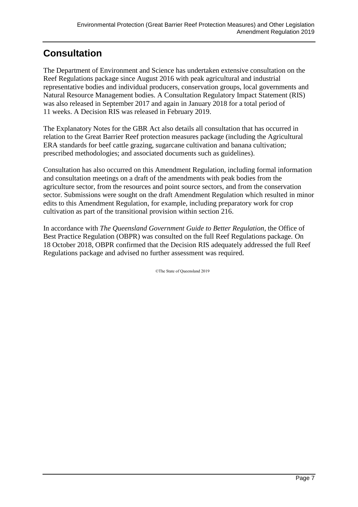# **Consultation**

The Department of Environment and Science has undertaken extensive consultation on the Reef Regulations package since August 2016 with peak agricultural and industrial representative bodies and individual producers, conservation groups, local governments and Natural Resource Management bodies. A Consultation Regulatory Impact Statement (RIS) was also released in September 2017 and again in January 2018 for a total period of 11 weeks. A Decision RIS was released in February 2019.

The Explanatory Notes for the GBR Act also details all consultation that has occurred in relation to the Great Barrier Reef protection measures package (including the Agricultural ERA standards for beef cattle grazing, sugarcane cultivation and banana cultivation; prescribed methodologies; and associated documents such as guidelines).

Consultation has also occurred on this Amendment Regulation, including formal information and consultation meetings on a draft of the amendments with peak bodies from the agriculture sector, from the resources and point source sectors, and from the conservation sector. Submissions were sought on the draft Amendment Regulation which resulted in minor edits to this Amendment Regulation, for example, including preparatory work for crop cultivation as part of the transitional provision within section 216.

In accordance with *The Queensland Government Guide to Better Regulation*, the Office of Best Practice Regulation (OBPR) was consulted on the full Reef Regulations package. On 18 October 2018, OBPR confirmed that the Decision RIS adequately addressed the full Reef Regulations package and advised no further assessment was required.

©The State of Queensland 2019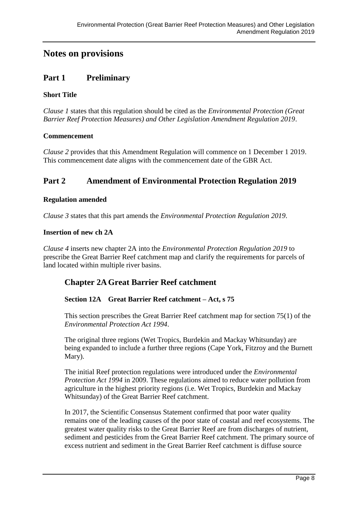# **Notes on provisions**

### **Part 1 Preliminary**

#### **Short Title**

*Clause 1* states that this regulation should be cited as the *Environmental Protection (Great Barrier Reef Protection Measures) and Other Legislation Amendment Regulation 2019*.

#### **Commencement**

*Clause 2* provides that this Amendment Regulation will commence on 1 December 1 2019. This commencement date aligns with the commencement date of the GBR Act.

### **Part 2 Amendment of Environmental Protection Regulation 2019**

#### **Regulation amended**

*Clause 3* states that this part amends the *Environmental Protection Regulation 2019*.

#### **Insertion of new ch 2A**

*Clause 4* inserts new chapter 2A into the *Environmental Protection Regulation 2019* to prescribe the Great Barrier Reef catchment map and clarify the requirements for parcels of land located within multiple river basins.

### **Chapter 2AGreat Barrier Reef catchment**

#### **Section 12A Great Barrier Reef catchment – Act, s 75**

This section prescribes the Great Barrier Reef catchment map for section 75(1) of the *Environmental Protection Act 1994*.

The original three regions (Wet Tropics, Burdekin and Mackay Whitsunday) are being expanded to include a further three regions (Cape York, Fitzroy and the Burnett Mary).

The initial Reef protection regulations were introduced under the *Environmental Protection Act 1994* in 2009. These regulations aimed to reduce water pollution from agriculture in the highest priority regions (i.e. Wet Tropics, Burdekin and Mackay Whitsunday) of the Great Barrier Reef catchment.

In 2017, the Scientific Consensus Statement confirmed that poor water quality remains one of the leading causes of the poor state of coastal and reef ecosystems. The greatest water quality risks to the Great Barrier Reef are from discharges of nutrient, sediment and pesticides from the Great Barrier Reef catchment. The primary source of excess nutrient and sediment in the Great Barrier Reef catchment is diffuse source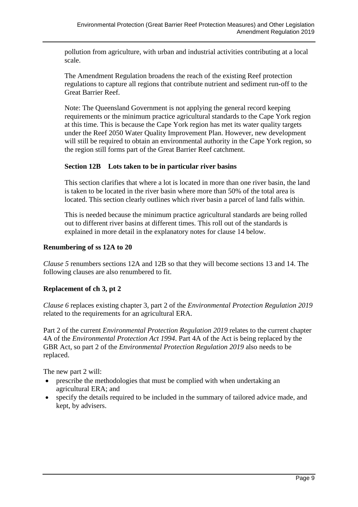pollution from agriculture, with urban and industrial activities contributing at a local scale.

The Amendment Regulation broadens the reach of the existing Reef protection regulations to capture all regions that contribute nutrient and sediment run-off to the Great Barrier Reef.

Note: The Queensland Government is not applying the general record keeping requirements or the minimum practice agricultural standards to the Cape York region at this time. This is because the Cape York region has met its water quality targets under the Reef 2050 Water Quality Improvement Plan. However, new development will still be required to obtain an environmental authority in the Cape York region, so the region still forms part of the Great Barrier Reef catchment.

#### **Section 12B Lots taken to be in particular river basins**

This section clarifies that where a lot is located in more than one river basin, the land is taken to be located in the river basin where more than 50% of the total area is located. This section clearly outlines which river basin a parcel of land falls within.

This is needed because the minimum practice agricultural standards are being rolled out to different river basins at different times. This roll out of the standards is explained in more detail in the explanatory notes for clause 14 below.

#### **Renumbering of ss 12A to 20**

*Clause 5* renumbers sections 12A and 12B so that they will become sections 13 and 14. The following clauses are also renumbered to fit.

#### **Replacement of ch 3, pt 2**

*Clause 6* replaces existing chapter 3, part 2 of the *Environmental Protection Regulation 2019* related to the requirements for an agricultural ERA.

Part 2 of the current *Environmental Protection Regulation 2019* relates to the current chapter 4A of the *Environmental Protection Act 1994*. Part 4A of the Act is being replaced by the GBR Act, so part 2 of the *Environmental Protection Regulation 2019* also needs to be replaced.

The new part 2 will:

- prescribe the methodologies that must be complied with when undertaking an agricultural ERA; and
- specify the details required to be included in the summary of tailored advice made, and kept, by advisers.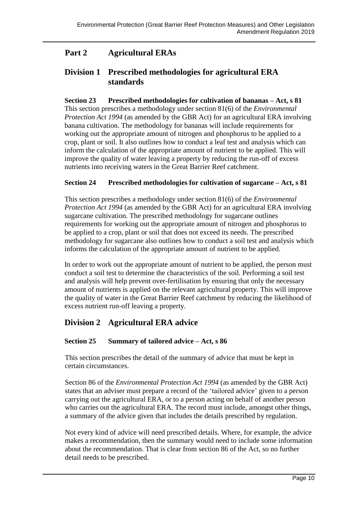# **Part 2 Agricultural ERAs**

## **Division 1 Prescribed methodologies for agricultural ERA standards**

**Section 23 Prescribed methodologies for cultivation of bananas – Act, s 81** This section prescribes a methodology under section 81(6) of the *Environmental Protection Act 1994* (as amended by the GBR Act) for an agricultural ERA involving

banana cultivation. The methodology for bananas will include requirements for working out the appropriate amount of nitrogen and phosphorus to be applied to a crop, plant or soil. It also outlines how to conduct a leaf test and analysis which can inform the calculation of the appropriate amount of nutrient to be applied. This will improve the quality of water leaving a property by reducing the run-off of excess nutrients into receiving waters in the Great Barrier Reef catchment.

#### **Section 24 Prescribed methodologies for cultivation of sugarcane – Act, s 81**

This section prescribes a methodology under section 81(6) of the *Environmental Protection Act 1994* (as amended by the GBR Act) for an agricultural ERA involving sugarcane cultivation. The prescribed methodology for sugarcane outlines requirements for working out the appropriate amount of nitrogen and phosphorus to be applied to a crop, plant or soil that does not exceed its needs. The prescribed methodology for sugarcane also outlines how to conduct a soil test and analysis which informs the calculation of the appropriate amount of nutrient to be applied.

In order to work out the appropriate amount of nutrient to be applied, the person must conduct a soil test to determine the characteristics of the soil. Performing a soil test and analysis will help prevent over-fertilisation by ensuring that only the necessary amount of nutrients is applied on the relevant agricultural property. This will improve the quality of water in the Great Barrier Reef catchment by reducing the likelihood of excess nutrient run-off leaving a property.

## **Division 2 Agricultural ERA advice**

#### **Section 25 Summary of tailored advice – Act, s 86**

This section prescribes the detail of the summary of advice that must be kept in certain circumstances.

Section 86 of the *Environmental Protection Act 1994* (as amended by the GBR Act) states that an adviser must prepare a record of the 'tailored advice' given to a person carrying out the agricultural ERA, or to a person acting on behalf of another person who carries out the agricultural ERA. The record must include, amongst other things, a summary of the advice given that includes the details prescribed by regulation.

Not every kind of advice will need prescribed details. Where, for example, the advice makes a recommendation, then the summary would need to include some information about the recommendation. That is clear from section 86 of the Act, so no further detail needs to be prescribed.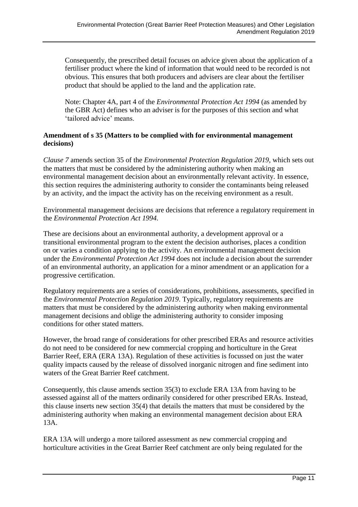Consequently, the prescribed detail focuses on advice given about the application of a fertiliser product where the kind of information that would need to be recorded is not obvious. This ensures that both producers and advisers are clear about the fertiliser product that should be applied to the land and the application rate.

Note: Chapter 4A, part 4 of the *Environmental Protection Act 1994* (as amended by the GBR Act) defines who an adviser is for the purposes of this section and what 'tailored advice' means.

#### **Amendment of s 35 (Matters to be complied with for environmental management decisions)**

*Clause 7* amends section 35 of the *Environmental Protection Regulation 2019*, which sets out the matters that must be considered by the administering authority when making an environmental management decision about an environmentally relevant activity. In essence, this section requires the administering authority to consider the contaminants being released by an activity, and the impact the activity has on the receiving environment as a result.

Environmental management decisions are decisions that reference a regulatory requirement in the *Environmental Protection Act 1994.*

These are decisions about an environmental authority, a development approval or a transitional environmental program to the extent the decision authorises, places a condition on or varies a condition applying to the activity. An environmental management decision under the *Environmental Protection Act 1994* does not include a decision about the surrender of an environmental authority, an application for a minor amendment or an application for a progressive certification.

Regulatory requirements are a series of considerations, prohibitions, assessments, specified in the *Environmental Protection Regulation 2019*. Typically, regulatory requirements are matters that must be considered by the administering authority when making environmental management decisions and oblige the administering authority to consider imposing conditions for other stated matters.

However, the broad range of considerations for other prescribed ERAs and resource activities do not need to be considered for new commercial cropping and horticulture in the Great Barrier Reef, ERA (ERA 13A). Regulation of these activities is focussed on just the water quality impacts caused by the release of dissolved inorganic nitrogen and fine sediment into waters of the Great Barrier Reef catchment.

Consequently, this clause amends section 35(3) to exclude ERA 13A from having to be assessed against all of the matters ordinarily considered for other prescribed ERAs. Instead, this clause inserts new section 35(4) that details the matters that must be considered by the administering authority when making an environmental management decision about ERA 13A.

ERA 13A will undergo a more tailored assessment as new commercial cropping and horticulture activities in the Great Barrier Reef catchment are only being regulated for the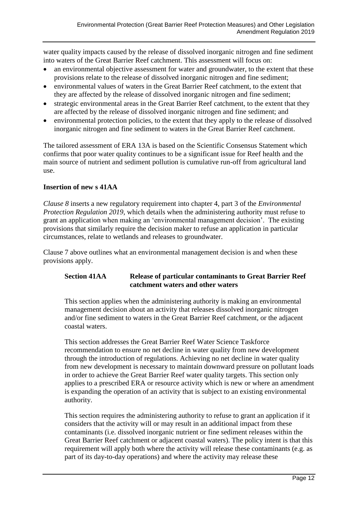water quality impacts caused by the release of dissolved inorganic nitrogen and fine sediment into waters of the Great Barrier Reef catchment. This assessment will focus on:

- an environmental objective assessment for water and groundwater, to the extent that these provisions relate to the release of dissolved inorganic nitrogen and fine sediment;
- environmental values of waters in the Great Barrier Reef catchment, to the extent that they are affected by the release of dissolved inorganic nitrogen and fine sediment;
- strategic environmental areas in the Great Barrier Reef catchment, to the extent that they are affected by the release of dissolved inorganic nitrogen and fine sediment; and
- environmental protection policies, to the extent that they apply to the release of dissolved inorganic nitrogen and fine sediment to waters in the Great Barrier Reef catchment.

The tailored assessment of ERA 13A is based on the Scientific Consensus Statement which confirms that poor water quality continues to be a significant issue for Reef health and the main source of nutrient and sediment pollution is cumulative run-off from agricultural land use.

#### **Insertion of new s 41AA**

*Clause 8* inserts a new regulatory requirement into chapter 4, part 3 of the *Environmental Protection Regulation 2019*, which details when the administering authority must refuse to grant an application when making an 'environmental management decision'. The existing provisions that similarly require the decision maker to refuse an application in particular circumstances, relate to wetlands and releases to groundwater.

Clause 7 above outlines what an environmental management decision is and when these provisions apply.

#### **Section 41AA Release of particular contaminants to Great Barrier Reef catchment waters and other waters**

This section applies when the administering authority is making an environmental management decision about an activity that releases dissolved inorganic nitrogen and/or fine sediment to waters in the Great Barrier Reef catchment, or the adjacent coastal waters.

This section addresses the Great Barrier Reef Water Science Taskforce recommendation to ensure no net decline in water quality from new development through the introduction of regulations. Achieving no net decline in water quality from new development is necessary to maintain downward pressure on pollutant loads in order to achieve the Great Barrier Reef water quality targets. This section only applies to a prescribed ERA or resource activity which is new or where an amendment is expanding the operation of an activity that is subject to an existing environmental authority.

This section requires the administering authority to refuse to grant an application if it considers that the activity will or may result in an additional impact from these contaminants (i.e. dissolved inorganic nutrient or fine sediment releases within the Great Barrier Reef catchment or adjacent coastal waters). The policy intent is that this requirement will apply both where the activity will release these contaminants (e.g. as part of its day-to-day operations) and where the activity may release these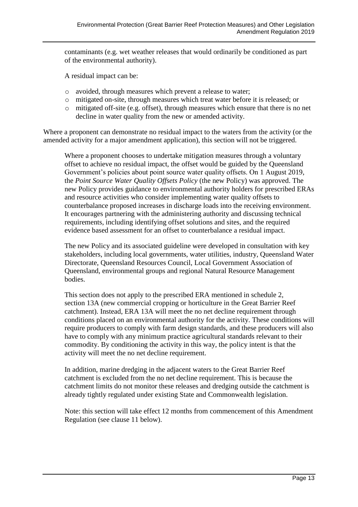contaminants (e.g. wet weather releases that would ordinarily be conditioned as part of the environmental authority).

A residual impact can be:

- o avoided, through measures which prevent a release to water;
- o mitigated on-site, through measures which treat water before it is released; or
- o mitigated off-site (e.g. offset), through measures which ensure that there is no net decline in water quality from the new or amended activity.

Where a proponent can demonstrate no residual impact to the waters from the activity (or the amended activity for a major amendment application), this section will not be triggered.

Where a proponent chooses to undertake mitigation measures through a voluntary offset to achieve no residual impact, the offset would be guided by the Queensland Government's policies about point source water quality offsets. On 1 August 2019, the *Point Source Water Quality Offsets Policy* (the new Policy) was approved. The new Policy provides guidance to environmental authority holders for prescribed ERAs and resource activities who consider implementing water quality offsets to counterbalance proposed increases in discharge loads into the receiving environment. It encourages partnering with the administering authority and discussing technical requirements, including identifying offset solutions and sites, and the required evidence based assessment for an offset to counterbalance a residual impact.

The new Policy and its associated guideline were developed in consultation with key stakeholders, including local governments, water utilities, industry, Queensland Water Directorate, Queensland Resources Council, Local Government Association of Queensland, environmental groups and regional Natural Resource Management bodies.

This section does not apply to the prescribed ERA mentioned in schedule 2. section 13A (new commercial cropping or horticulture in the Great Barrier Reef catchment). Instead, ERA 13A will meet the no net decline requirement through conditions placed on an environmental authority for the activity. These conditions will require producers to comply with farm design standards, and these producers will also have to comply with any minimum practice agricultural standards relevant to their commodity. By conditioning the activity in this way, the policy intent is that the activity will meet the no net decline requirement.

In addition, marine dredging in the adjacent waters to the Great Barrier Reef catchment is excluded from the no net decline requirement. This is because the catchment limits do not monitor these releases and dredging outside the catchment is already tightly regulated under existing State and Commonwealth legislation.

Note: this section will take effect 12 months from commencement of this Amendment Regulation (see clause 11 below).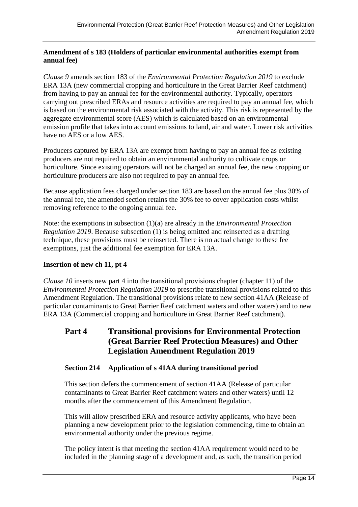#### **Amendment of s 183 (Holders of particular environmental authorities exempt from annual fee)**

*Clause 9* amends section 183 of the *Environmental Protection Regulation 2019* to exclude ERA 13A (new commercial cropping and horticulture in the Great Barrier Reef catchment) from having to pay an annual fee for the environmental authority. Typically, operators carrying out prescribed ERAs and resource activities are required to pay an annual fee, which is based on the environmental risk associated with the activity. This risk is represented by the aggregate environmental score (AES) which is calculated based on an environmental emission profile that takes into account emissions to land, air and water. Lower risk activities have no AES or a low AES.

Producers captured by ERA 13A are exempt from having to pay an annual fee as existing producers are not required to obtain an environmental authority to cultivate crops or horticulture. Since existing operators will not be charged an annual fee, the new cropping or horticulture producers are also not required to pay an annual fee.

Because application fees charged under section 183 are based on the annual fee plus 30% of the annual fee, the amended section retains the 30% fee to cover application costs whilst removing reference to the ongoing annual fee.

Note: the exemptions in subsection (1)(a) are already in the *Environmental Protection Regulation 2019*. Because subsection (1) is being omitted and reinserted as a drafting technique, these provisions must be reinserted. There is no actual change to these fee exemptions, just the additional fee exemption for ERA 13A.

#### **Insertion of new ch 11, pt 4**

*Clause 10* inserts new part 4 into the transitional provisions chapter (chapter 11) of the *Environmental Protection Regulation 2019* to prescribe transitional provisions related to this Amendment Regulation. The transitional provisions relate to new section 41AA (Release of particular contaminants to Great Barrier Reef catchment waters and other waters) and to new ERA 13A (Commercial cropping and horticulture in Great Barrier Reef catchment).

## **Part 4 Transitional provisions for Environmental Protection (Great Barrier Reef Protection Measures) and Other Legislation Amendment Regulation 2019**

#### **Section 214 Application of s 41AA during transitional period**

This section defers the commencement of section 41AA (Release of particular contaminants to Great Barrier Reef catchment waters and other waters) until 12 months after the commencement of this Amendment Regulation.

This will allow prescribed ERA and resource activity applicants, who have been planning a new development prior to the legislation commencing, time to obtain an environmental authority under the previous regime.

The policy intent is that meeting the section 41AA requirement would need to be included in the planning stage of a development and, as such, the transition period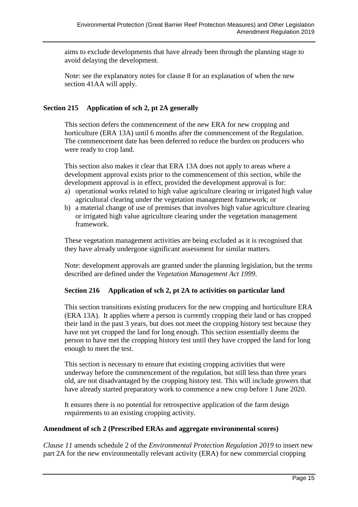aims to exclude developments that have already been through the planning stage to avoid delaying the development.

Note: see the explanatory notes for clause 8 for an explanation of when the new section 41AA will apply.

#### **Section 215 Application of sch 2, pt 2A generally**

This section defers the commencement of the new ERA for new cropping and horticulture (ERA 13A) until 6 months after the commencement of the Regulation. The commencement date has been deferred to reduce the burden on producers who were ready to crop land.

This section also makes it clear that ERA 13A does not apply to areas where a development approval exists prior to the commencement of this section, while the development approval is in effect, provided the development approval is for:

- a) operational works related to high value agriculture clearing or irrigated high value agricultural clearing under the vegetation management framework; or
- b) a material change of use of premises that involves high value agriculture clearing or irrigated high value agriculture clearing under the vegetation management framework.

These vegetation management activities are being excluded as it is recognised that they have already undergone significant assessment for similar matters.

Note: development approvals are granted under the planning legislation, but the terms described are defined under the *Vegetation Management Act 1999*.

#### **Section 216 Application of sch 2, pt 2A to activities on particular land**

This section transitions existing producers for the new cropping and horticulture ERA (ERA 13A). It applies where a person is currently cropping their land or has cropped their land in the past 3 years, but does not meet the cropping history test because they have not yet cropped the land for long enough. This section essentially deems the person to have met the cropping history test until they have cropped the land for long enough to meet the test.

This section is necessary to ensure that existing cropping activities that were underway before the commencement of the regulation, but still less than three years old, are not disadvantaged by the cropping history test. This will include growers that have already started preparatory work to commence a new crop before 1 June 2020.

It ensures there is no potential for retrospective application of the farm design requirements to an existing cropping activity.

#### **Amendment of sch 2 (Prescribed ERAs and aggregate environmental scores)**

*Clause 11* amends schedule 2 of the *Environmental Protection Regulation 2019* to insert new part 2A for the new environmentally relevant activity (ERA) for new commercial cropping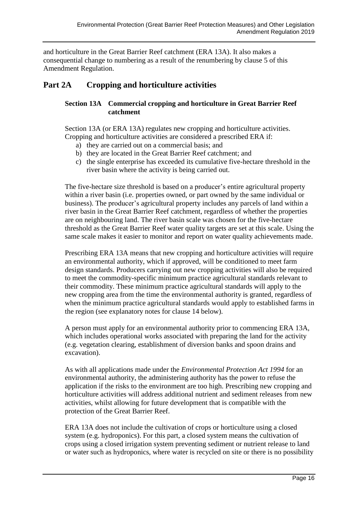and horticulture in the Great Barrier Reef catchment (ERA 13A). It also makes a consequential change to numbering as a result of the renumbering by clause 5 of this Amendment Regulation.

# **Part 2A Cropping and horticulture activities**

#### **Section 13A Commercial cropping and horticulture in Great Barrier Reef catchment**

Section 13A (or ERA 13A) regulates new cropping and horticulture activities. Cropping and horticulture activities are considered a prescribed ERA if:

- a) they are carried out on a commercial basis; and
- b) they are located in the Great Barrier Reef catchment; and
- c) the single enterprise has exceeded its cumulative five-hectare threshold in the river basin where the activity is being carried out.

The five-hectare size threshold is based on a producer's entire agricultural property within a river basin (i.e. properties owned, or part owned by the same individual or business). The producer's agricultural property includes any parcels of land within a river basin in the Great Barrier Reef catchment, regardless of whether the properties are on neighbouring land. The river basin scale was chosen for the five-hectare threshold as the Great Barrier Reef water quality targets are set at this scale. Using the same scale makes it easier to monitor and report on water quality achievements made.

Prescribing ERA 13A means that new cropping and horticulture activities will require an environmental authority, which if approved, will be conditioned to meet farm design standards. Producers carrying out new cropping activities will also be required to meet the commodity-specific minimum practice agricultural standards relevant to their commodity. These minimum practice agricultural standards will apply to the new cropping area from the time the environmental authority is granted, regardless of when the minimum practice agricultural standards would apply to established farms in the region (see explanatory notes for clause 14 below).

A person must apply for an environmental authority prior to commencing ERA 13A, which includes operational works associated with preparing the land for the activity (e.g. vegetation clearing, establishment of diversion banks and spoon drains and excavation).

As with all applications made under the *Environmental Protection Act 1994* for an environmental authority, the administering authority has the power to refuse the application if the risks to the environment are too high. Prescribing new cropping and horticulture activities will address additional nutrient and sediment releases from new activities, whilst allowing for future development that is compatible with the protection of the Great Barrier Reef.

ERA 13A does not include the cultivation of crops or horticulture using a closed system (e.g. hydroponics). For this part, a closed system means the cultivation of crops using a closed irrigation system preventing sediment or nutrient release to land or water such as hydroponics, where water is recycled on site or there is no possibility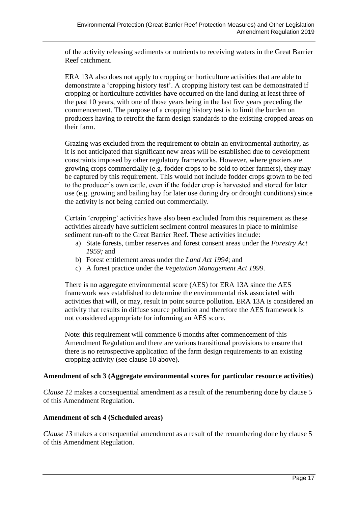of the activity releasing sediments or nutrients to receiving waters in the Great Barrier Reef catchment.

ERA 13A also does not apply to cropping or horticulture activities that are able to demonstrate a 'cropping history test'. A cropping history test can be demonstrated if cropping or horticulture activities have occurred on the land during at least three of the past 10 years, with one of those years being in the last five years preceding the commencement. The purpose of a cropping history test is to limit the burden on producers having to retrofit the farm design standards to the existing cropped areas on their farm.

Grazing was excluded from the requirement to obtain an environmental authority, as it is not anticipated that significant new areas will be established due to development constraints imposed by other regulatory frameworks. However, where graziers are growing crops commercially (e.g. fodder crops to be sold to other farmers), they may be captured by this requirement. This would not include fodder crops grown to be fed to the producer's own cattle, even if the fodder crop is harvested and stored for later use (e.g. growing and bailing hay for later use during dry or drought conditions) since the activity is not being carried out commercially.

Certain 'cropping' activities have also been excluded from this requirement as these activities already have sufficient sediment control measures in place to minimise sediment run-off to the Great Barrier Reef. These activities include:

- a) State forests, timber reserves and forest consent areas under the *Forestry Act 1959;* and
- b) Forest entitlement areas under the *Land Act 1994*; and
- c) A forest practice under the *Vegetation Management Act 1999*.

There is no aggregate environmental score (AES) for ERA 13A since the AES framework was established to determine the environmental risk associated with activities that will, or may, result in point source pollution. ERA 13A is considered an activity that results in diffuse source pollution and therefore the AES framework is not considered appropriate for informing an AES score.

Note: this requirement will commence 6 months after commencement of this Amendment Regulation and there are various transitional provisions to ensure that there is no retrospective application of the farm design requirements to an existing cropping activity (see clause 10 above).

#### **Amendment of sch 3 (Aggregate environmental scores for particular resource activities)**

*Clause 12* makes a consequential amendment as a result of the renumbering done by clause 5 of this Amendment Regulation.

#### **Amendment of sch 4 (Scheduled areas)**

*Clause 13* makes a consequential amendment as a result of the renumbering done by clause 5 of this Amendment Regulation.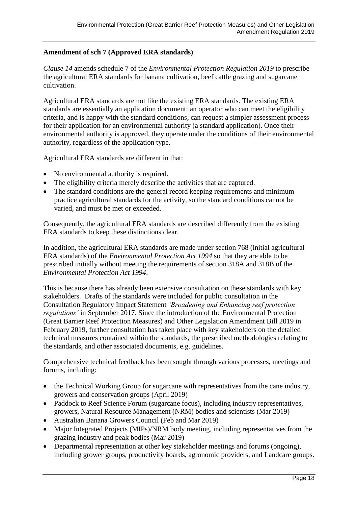#### **Amendment of sch 7 (Approved ERA standards)**

*Clause 14* amends schedule 7 of the *Environmental Protection Regulation 2019* to prescribe the agricultural ERA standards for banana cultivation, beef cattle grazing and sugarcane cultivation.

Agricultural ERA standards are not like the existing ERA standards. The existing ERA standards are essentially an application document: an operator who can meet the eligibility criteria, and is happy with the standard conditions, can request a simpler assessment process for their application for an environmental authority (a standard application). Once their environmental authority is approved, they operate under the conditions of their environmental authority, regardless of the application type.

Agricultural ERA standards are different in that:

- No environmental authority is required.
- The eligibility criteria merely describe the activities that are captured.
- The standard conditions are the general record keeping requirements and minimum practice agricultural standards for the activity, so the standard conditions cannot be varied, and must be met or exceeded.

Consequently, the agricultural ERA standards are described differently from the existing ERA standards to keep these distinctions clear.

In addition, the agricultural ERA standards are made under section 768 (initial agricultural ERA standards) of the *Environmental Protection Act 1994* so that they are able to be prescribed initially without meeting the requirements of section 318A and 318B of the *Environmental Protection Act 1994*.

This is because there has already been extensive consultation on these standards with key stakeholders. Drafts of the standards were included for public consultation in the Consultation Regulatory Impact Statement *'Broadening and Enhancing reef protection regulations'* in September 2017. Since the introduction of the Environmental Protection (Great Barrier Reef Protection Measures) and Other Legislation Amendment Bill 2019 in February 2019, further consultation has taken place with key stakeholders on the detailed technical measures contained within the standards, the prescribed methodologies relating to the standards, and other associated documents, e.g. guidelines.

Comprehensive technical feedback has been sought through various processes, meetings and forums, including:

- the Technical Working Group for sugarcane with representatives from the cane industry, growers and conservation groups (April 2019)
- Paddock to Reef Science Forum (sugarcane focus), including industry representatives, growers, Natural Resource Management (NRM) bodies and scientists (Mar 2019)
- Australian Banana Growers Council (Feb and Mar 2019)
- Major Integrated Projects (MIPs)/NRM body meeting, including representatives from the grazing industry and peak bodies (Mar 2019)
- Departmental representation at other key stakeholder meetings and forums (ongoing), including grower groups, productivity boards, agronomic providers, and Landcare groups.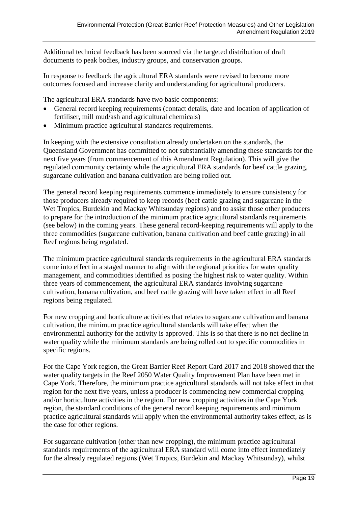Additional technical feedback has been sourced via the targeted distribution of draft documents to peak bodies, industry groups, and conservation groups.

In response to feedback the agricultural ERA standards were revised to become more outcomes focused and increase clarity and understanding for agricultural producers.

The agricultural ERA standards have two basic components:

- General record keeping requirements (contact details, date and location of application of fertiliser, mill mud/ash and agricultural chemicals)
- Minimum practice agricultural standards requirements.

In keeping with the extensive consultation already undertaken on the standards, the Queensland Government has committed to not substantially amending these standards for the next five years (from commencement of this Amendment Regulation). This will give the regulated community certainty while the agricultural ERA standards for beef cattle grazing, sugarcane cultivation and banana cultivation are being rolled out.

The general record keeping requirements commence immediately to ensure consistency for those producers already required to keep records (beef cattle grazing and sugarcane in the Wet Tropics, Burdekin and Mackay Whitsunday regions) and to assist those other producers to prepare for the introduction of the minimum practice agricultural standards requirements (see below) in the coming years. These general record-keeping requirements will apply to the three commodities (sugarcane cultivation, banana cultivation and beef cattle grazing) in all Reef regions being regulated.

The minimum practice agricultural standards requirements in the agricultural ERA standards come into effect in a staged manner to align with the regional priorities for water quality management, and commodities identified as posing the highest risk to water quality. Within three years of commencement, the agricultural ERA standards involving sugarcane cultivation, banana cultivation, and beef cattle grazing will have taken effect in all Reef regions being regulated.

For new cropping and horticulture activities that relates to sugarcane cultivation and banana cultivation, the minimum practice agricultural standards will take effect when the environmental authority for the activity is approved. This is so that there is no net decline in water quality while the minimum standards are being rolled out to specific commodities in specific regions.

For the Cape York region, the Great Barrier Reef Report Card 2017 and 2018 showed that the water quality targets in the Reef 2050 Water Quality Improvement Plan have been met in Cape York. Therefore, the minimum practice agricultural standards will not take effect in that region for the next five years, unless a producer is commencing new commercial cropping and/or horticulture activities in the region. For new cropping activities in the Cape York region, the standard conditions of the general record keeping requirements and minimum practice agricultural standards will apply when the environmental authority takes effect, as is the case for other regions.

For sugarcane cultivation (other than new cropping), the minimum practice agricultural standards requirements of the agricultural ERA standard will come into effect immediately for the already regulated regions (Wet Tropics, Burdekin and Mackay Whitsunday), whilst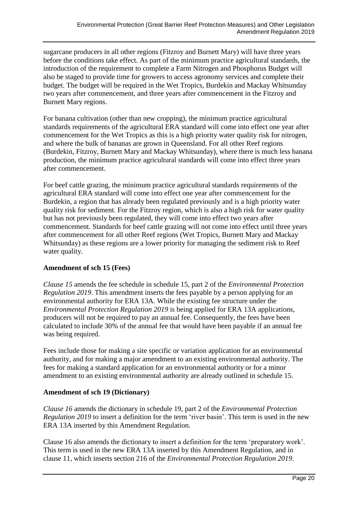sugarcane producers in all other regions (Fitzroy and Burnett Mary) will have three years before the conditions take effect. As part of the minimum practice agricultural standards, the introduction of the requirement to complete a Farm Nitrogen and Phosphorus Budget will also be staged to provide time for growers to access agronomy services and complete their budget. The budget will be required in the Wet Tropics, Burdekin and Mackay Whitsunday two years after commencement, and three years after commencement in the Fitzroy and Burnett Mary regions.

For banana cultivation (other than new cropping), the minimum practice agricultural standards requirements of the agricultural ERA standard will come into effect one year after commencement for the Wet Tropics as this is a high priority water quality risk for nitrogen, and where the bulk of bananas are grown in Queensland. For all other Reef regions (Burdekin, Fitzroy, Burnett Mary and Mackay Whitsunday), where there is much less banana production, the minimum practice agricultural standards will come into effect three years after commencement.

For beef cattle grazing, the minimum practice agricultural standards requirements of the agricultural ERA standard will come into effect one year after commencement for the Burdekin, a region that has already been regulated previously and is a high priority water quality risk for sediment. For the Fitzroy region, which is also a high risk for water quality but has not previously been regulated, they will come into effect two years after commencement. Standards for beef cattle grazing will not come into effect until three years after commencement for all other Reef regions (Wet Tropics, Burnett Mary and Mackay Whitsunday) as these regions are a lower priority for managing the sediment risk to Reef water quality.

#### **Amendment of sch 15 (Fees)**

*Clause 15* amends the fee schedule in schedule 15, part 2 of the *Environmental Protection Regulation 2019*. This amendment inserts the fees payable by a person applying for an environmental authority for ERA 13A. While the existing fee structure under the *Environmental Protection Regulation 2019* is being applied for ERA 13A applications, producers will not be required to pay an annual fee. Consequently, the fees have been calculated to include 30% of the annual fee that would have been payable if an annual fee was being required.

Fees include those for making a site specific or variation application for an environmental authority, and for making a major amendment to an existing environmental authority. The fees for making a standard application for an environmental authority or for a minor amendment to an existing environmental authority are already outlined in schedule 15.

#### **Amendment of sch 19 (Dictionary)**

*Clause 16* amends the dictionary in schedule 19, part 2 of the *Environmental Protection Regulation 2019* to insert a definition for the term 'river basin'. This term is used in the new ERA 13A inserted by this Amendment Regulation.

Clause 16 also amends the dictionary to insert a definition for the term 'preparatory work'. This term is used in the new ERA 13A inserted by this Amendment Regulation, and in clause 11, which inserts section 216 of the *Environmental Protection Regulation 2019*.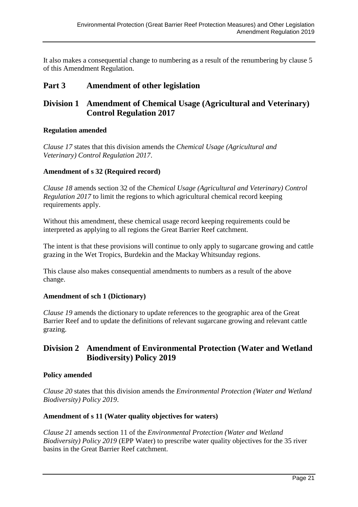It also makes a consequential change to numbering as a result of the renumbering by clause 5 of this Amendment Regulation.

# **Part 3 Amendment of other legislation**

# **Division 1 Amendment of Chemical Usage (Agricultural and Veterinary) Control Regulation 2017**

#### **Regulation amended**

*Clause 17* states that this division amends the *Chemical Usage (Agricultural and Veterinary) Control Regulation 2017*.

#### **Amendment of s 32 (Required record)**

*Clause 18* amends section 32 of the *Chemical Usage (Agricultural and Veterinary) Control Regulation 2017* to limit the regions to which agricultural chemical record keeping requirements apply.

Without this amendment, these chemical usage record keeping requirements could be interpreted as applying to all regions the Great Barrier Reef catchment.

The intent is that these provisions will continue to only apply to sugarcane growing and cattle grazing in the Wet Tropics, Burdekin and the Mackay Whitsunday regions.

This clause also makes consequential amendments to numbers as a result of the above change.

#### **Amendment of sch 1 (Dictionary)**

*Clause 19* amends the dictionary to update references to the geographic area of the Great Barrier Reef and to update the definitions of relevant sugarcane growing and relevant cattle grazing.

## **Division 2 Amendment of Environmental Protection (Water and Wetland Biodiversity) Policy 2019**

#### **Policy amended**

*Clause 20* states that this division amends the *Environmental Protection (Water and Wetland Biodiversity) Policy 2019*.

#### **Amendment of s 11 (Water quality objectives for waters)**

*Clause 21* amends section 11 of the *Environmental Protection (Water and Wetland Biodiversity) Policy 2019* (EPP Water) to prescribe water quality objectives for the 35 river basins in the Great Barrier Reef catchment.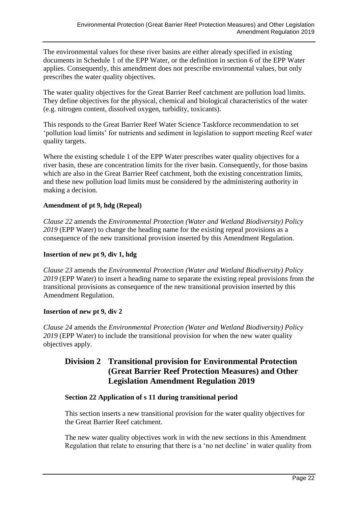The environmental values for these river basins are either already specified in existing documents in Schedule 1 of the EPP Water, or the definition in section 6 of the EPP Water applies. Consequently, this amendment does not prescribe environmental values, but only prescribes the water quality objectives.

The water quality objectives for the Great Barrier Reef catchment are pollution load limits. They define objectives for the physical, chemical and biological characteristics of the water (e.g. nitrogen content, dissolved oxygen, turbidity, toxicants).

This responds to the Great Barrier Reef Water Science Taskforce recommendation to set 'pollution load limits' for nutrients and sediment in legislation to support meeting Reef water quality targets.

Where the existing schedule 1 of the EPP Water prescribes water quality objectives for a river basin, these are concentration limits for the river basin. Consequently, for those basins which are also in the Great Barrier Reef catchment, both the existing concentration limits, and these new pollution load limits must be considered by the administering authority in making a decision.

#### **Amendment of pt 9, hdg (Repeal)**

*Clause 22* amends the *Environmental Protection (Water and Wetland Biodiversity) Policy 2019* (EPP Water) to change the heading name for the existing repeal provisions as a consequence of the new transitional provision inserted by this Amendment Regulation.

#### **Insertion of new pt 9, div 1, hdg**

*Clause 23* amends the *Environmental Protection (Water and Wetland Biodiversity) Policy 2019* (EPP Water) to insert a heading name to separate the existing repeal provisions from the transitional provisions as consequence of the new transitional provision inserted by this Amendment Regulation.

#### **Insertion of new pt 9, div 2**

*Clause 24* amends the *Environmental Protection (Water and Wetland Biodiversity) Policy 2019* (EPP Water) to include the transitional provision for when the new water quality objectives apply.

### **Division 2 Transitional provision for Environmental Protection (Great Barrier Reef Protection Measures) and Other Legislation Amendment Regulation 2019**

#### **Section 22 Application of s 11 during transitional period**

This section inserts a new transitional provision for the water quality objectives for the Great Barrier Reef catchment.

The new water quality objectives work in with the new sections in this Amendment Regulation that relate to ensuring that there is a 'no net decline' in water quality from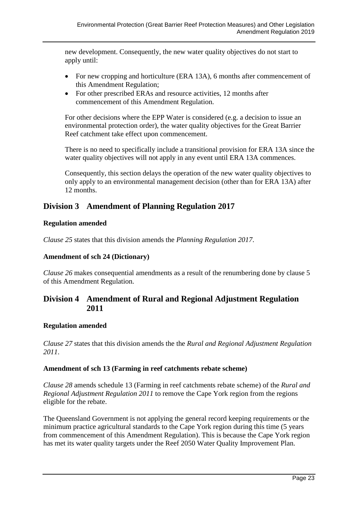new development. Consequently, the new water quality objectives do not start to apply until:

- For new cropping and horticulture (ERA 13A), 6 months after commencement of this Amendment Regulation;
- For other prescribed ERAs and resource activities, 12 months after commencement of this Amendment Regulation.

For other decisions where the EPP Water is considered (e.g. a decision to issue an environmental protection order), the water quality objectives for the Great Barrier Reef catchment take effect upon commencement.

There is no need to specifically include a transitional provision for ERA 13A since the water quality objectives will not apply in any event until ERA 13A commences.

Consequently, this section delays the operation of the new water quality objectives to only apply to an environmental management decision (other than for ERA 13A) after 12 months.

## **Division 3 Amendment of Planning Regulation 2017**

#### **Regulation amended**

*Clause 25* states that this division amends the *Planning Regulation 2017*.

#### **Amendment of sch 24 (Dictionary)**

*Clause 26* makes consequential amendments as a result of the renumbering done by clause 5 of this Amendment Regulation.

### **Division 4 Amendment of Rural and Regional Adjustment Regulation 2011**

#### **Regulation amended**

*Clause 27* states that this division amends the the *Rural and Regional Adjustment Regulation 2011*.

#### **Amendment of sch 13 (Farming in reef catchments rebate scheme)**

*Clause 28* amends schedule 13 (Farming in reef catchments rebate scheme) of the *Rural and Regional Adjustment Regulation 2011* to remove the Cape York region from the regions eligible for the rebate.

The Queensland Government is not applying the general record keeping requirements or the minimum practice agricultural standards to the Cape York region during this time (5 years from commencement of this Amendment Regulation). This is because the Cape York region has met its water quality targets under the Reef 2050 Water Quality Improvement Plan.